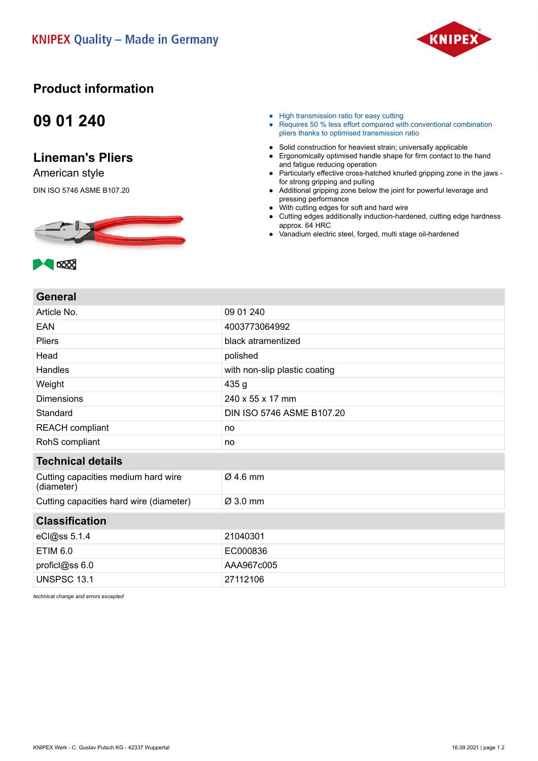

## **Product information**

## **09 01 240**

## **Lineman's Pliers**

American style

DIN ISO 5746 ASME B107.20



- High transmission ratio for easy cutting
- Requires 50 % less effort compared with conventional combination pliers thanks to optimised transmission ratio
- Solid construction for heaviest strain; universally applicable
- Ergonomically optimised handle shape for firm contact to the hand and fatigue reducing operation
- Particularly effective cross-hatched knurled gripping zone in the jaws for strong gripping and pulling
- Additional gripping zone below the joint for powerful leverage and pressing performance
- With cutting edges for soft and hard wire
- Cutting edges additionally induction-hardened, cutting edge hardness approx. 64 HRC
- Vanadium electric steel, forged, multi stage oil-hardened



**A** 

| 971191 M                                          |                               |
|---------------------------------------------------|-------------------------------|
| Article No.                                       | 09 01 240                     |
| <b>EAN</b>                                        | 4003773064992                 |
| <b>Pliers</b>                                     | black atramentized            |
| Head                                              | polished                      |
| Handles                                           | with non-slip plastic coating |
| Weight                                            | 435 g                         |
| <b>Dimensions</b>                                 | 240 x 55 x 17 mm              |
| Standard                                          | DIN ISO 5746 ASME B107.20     |
| <b>REACH compliant</b>                            | no                            |
| RohS compliant                                    | no                            |
| <b>Technical details</b>                          |                               |
| Cutting capacities medium hard wire<br>(diameter) | $Ø$ 4.6 mm                    |
| Cutting capacities hard wire (diameter)           | $\varnothing$ 3.0 mm          |
| <b>Classification</b>                             |                               |
| eCl@ss 5.1.4                                      | 21040301                      |
| ETIM 6.0                                          | EC000836                      |
| proficl@ss 6.0                                    | AAA967c005                    |
| <b>UNSPSC 13.1</b>                                | 27112106                      |
|                                                   |                               |

*technical change and errors excepted*